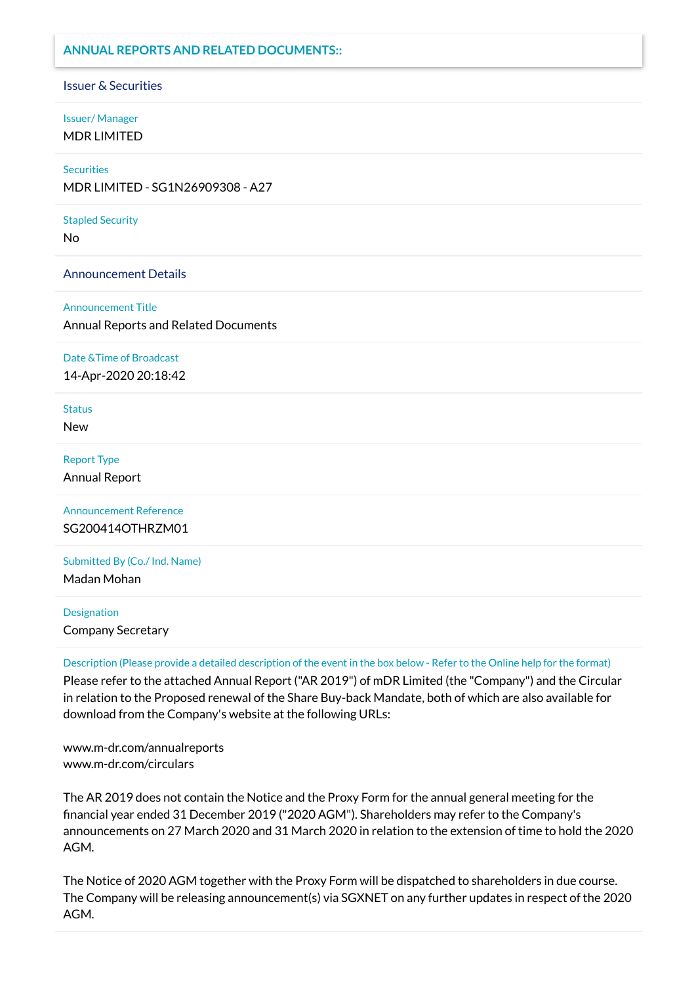### **ANNUAL REPORTS AND RELATED DOCUMENTS::**

#### Issuer & Securities

# Issuer/ Manager

MDR LIMITED

#### **Securities**

MDR LIMITED - SG1N26909308 - A27

#### Stapled Security

No

Announcement Details

#### Announcement Title

Annual Reports and Related Documents

#### Date &Time of Broadcast

14-Apr-2020 20:18:42

#### **Status**

New

#### Report Type

Annual Report

Announcement Reference SG200414OTHRZM01

Submitted By (Co./ Ind. Name)

Madan Mohan

# Designation Company Secretary

Description (Please provide a detailed description of the event in the box below - Refer to the Online help for the format)

Please refer to the attached Annual Report ("AR 2019") of mDR Limited (the "Company") and the Circular in relation to the Proposed renewal of the Share Buy-back Mandate, both of which are also available for download from the Company's website at the following URLs:

www.m-dr.com/annualreports www.m-dr.com/circulars

The AR 2019 does not contain the Notice and the Proxy Form for the annual general meeting for the nancial year ended 31 December 2019 ("2020 AGM"). Shareholders may refer to the Company's announcements on 27 March 2020 and 31 March 2020 in relation to the extension of time to hold the 2020 AGM.

The Notice of 2020 AGM together with the Proxy Form will be dispatched to shareholders in due course. The Company will be releasing announcement(s) via SGXNET on any further updates in respect of the 2020 AGM.